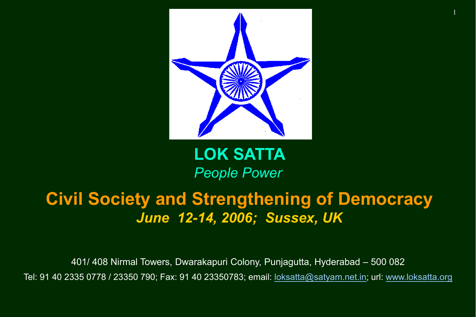

1

#### LOK SATTA *People Power*

#### Civil Society and Strengthening of Democracy *June 12-14, 2006; Sussex, UK*

401/ 408 Nirmal Towers, Dwarakapuri Colony, Punjagutta, Hyderabad – 500 082 Tel: 91 40 2335 0778 / 23350 790; Fax: 91 40 23350783; email: [loksatta@satyam.net.in](mailto:loksatta@satyam.net.in); url: [www.loksatta.org](http://www.loksatta.org/)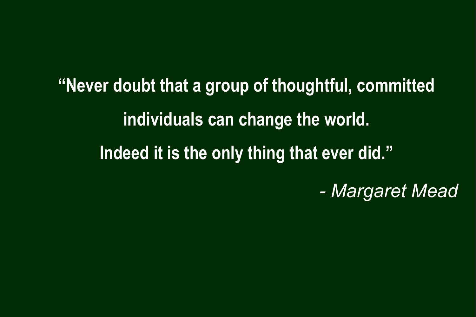"Never doubt that a group of thoughtful, committed individuals can change the world. Indeed it is the only thing that ever did."

*- Margaret Mead*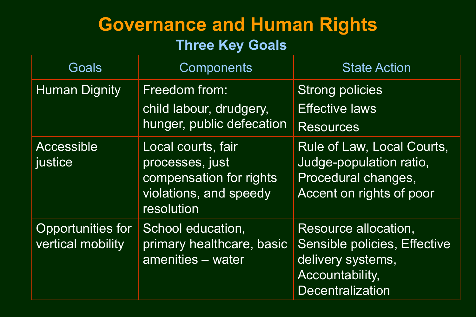#### Governance and Human Rights Three Key Goals

| Goals                                  | <b>Components</b>                                                                                        | <b>State Action</b>                                                                                                     |
|----------------------------------------|----------------------------------------------------------------------------------------------------------|-------------------------------------------------------------------------------------------------------------------------|
| <b>Human Dignity</b>                   | Freedom from:<br>child labour, drudgery,<br>hunger, public defecation                                    | <b>Strong policies</b><br><b>Effective laws</b><br><b>Resources</b>                                                     |
| <b>Accessible</b><br>justice           | Local courts, fair<br>processes, just<br>compensation for rights<br>violations, and speedy<br>resolution | Rule of Law, Local Courts,<br>Judge-population ratio,<br>Procedural changes,<br>Accent on rights of poor                |
| Opportunities for<br>vertical mobility | School education,<br>primary healthcare, basic<br>amenities - water                                      | Resource allocation,<br>Sensible policies, Effective<br>delivery systems,<br>Accountability,<br><b>Decentralization</b> |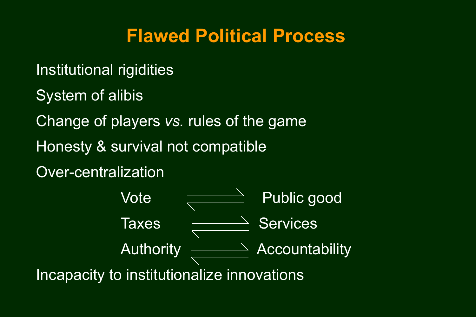#### Flawed Political Process

- Institutional rigidities
- System of alibis
- Change of players *vs.* rules of the game
- Honesty & survival not compatible
- Over-centralization

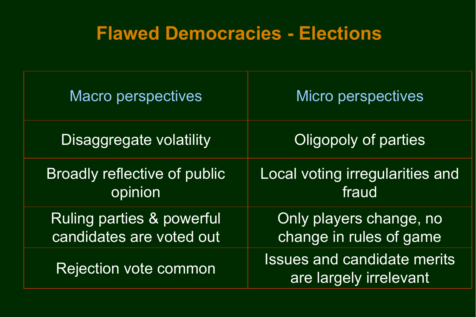# Flawed Democracies - Elections

| Macro perspectives                                               | <b>Micro perspectives</b>                                    |  |
|------------------------------------------------------------------|--------------------------------------------------------------|--|
| Disaggregate volatility                                          | Oligopoly of parties                                         |  |
| Broadly reflective of public<br>opinion                          | Local voting irregularities and<br>fraud                     |  |
| <b>Ruling parties &amp; powerful</b><br>candidates are voted out | Only players change, no<br>change in rules of game           |  |
| <b>Rejection vote common</b>                                     | <b>Issues and candidate merits</b><br>are largely irrelevant |  |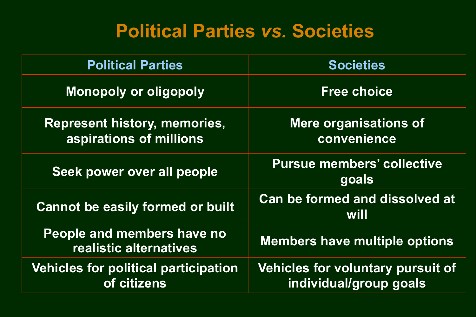#### Political Parties *vs.* Societies

| <b>Political Parties</b>                                       | <b>Societies</b>                                                   |  |
|----------------------------------------------------------------|--------------------------------------------------------------------|--|
| <b>Monopoly or oligopoly</b>                                   | <b>Free choice</b>                                                 |  |
| <b>Represent history, memories,</b><br>aspirations of millions | <b>Mere organisations of</b><br>convenience                        |  |
| Seek power over all people                                     | <b>Pursue members' collective</b><br>goals                         |  |
| <b>Cannot be easily formed or built</b>                        | <b>Can be formed and dissolved at</b><br>will                      |  |
| People and members have no<br>realistic alternatives           | <b>Members have multiple options</b>                               |  |
| <b>Vehicles for political participation</b><br>of citizens     | <b>Vehicles for voluntary pursuit of</b><br>individual/group goals |  |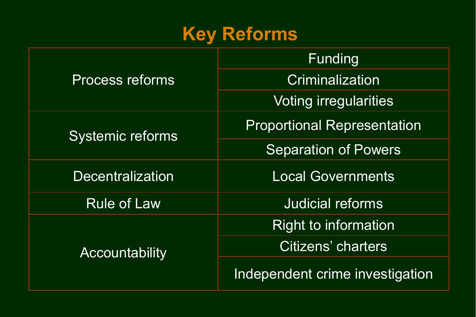# Key Reforms

|                         | Funding                            |  |
|-------------------------|------------------------------------|--|
| <b>Process reforms</b>  | Criminalization                    |  |
|                         | <b>Voting irregularities</b>       |  |
| <b>Systemic reforms</b> | <b>Proportional Representation</b> |  |
|                         | <b>Separation of Powers</b>        |  |
| <b>Decentralization</b> | <b>Local Governments</b>           |  |
| <b>Rule of Law</b>      | <b>Judicial reforms</b>            |  |
|                         | <b>Right to information</b>        |  |
| Accountability          | Citizens' charters                 |  |
|                         | Independent crime investigation    |  |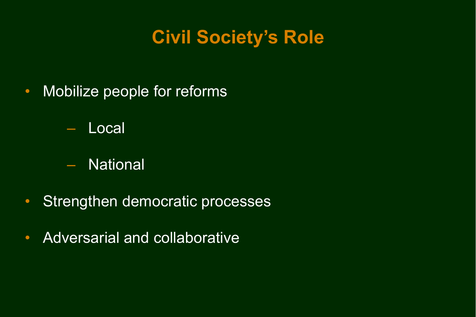## Civil Society's Role

- Mobilize people for reforms
	- Local
	- National
- Strengthen democratic processes
- Adversarial and collaborative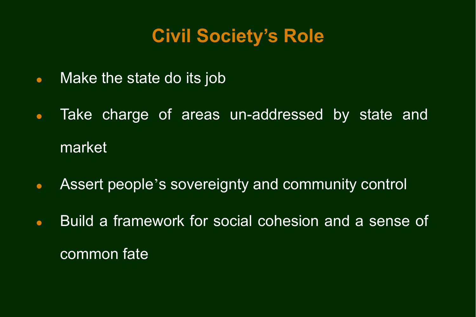#### Civil Society's Role

- Make the state do its job
- Take charge of areas un-addressed by state and market
- Assert people's sovereignty and community control
- Build a framework for social cohesion and a sense of common fate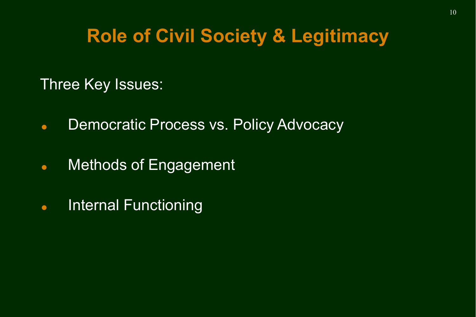#### Role of Civil Society & Legitimacy

Three Key Issues:

- **Democratic Process vs. Policy Advocacy**
- **Wethods of Engagement**
- **•** Internal Functioning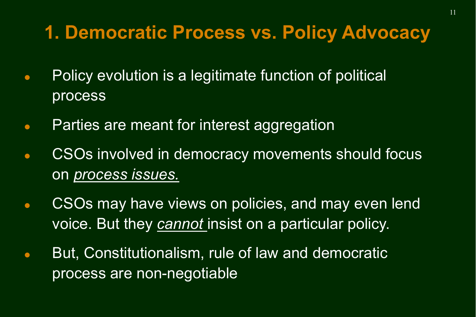# 1. Democratic Process vs. Policy Advocacy

- Policy evolution is a legitimate function of political process
- Parties are meant for interest aggregation
- **CSOs involved in democracy movements should focus** on *process issues.*
- **CSOs may have views on policies, and may even lend** voice. But they *cannot* insist on a particular policy.
- But, Constitutionalism, rule of law and democratic process are non-negotiable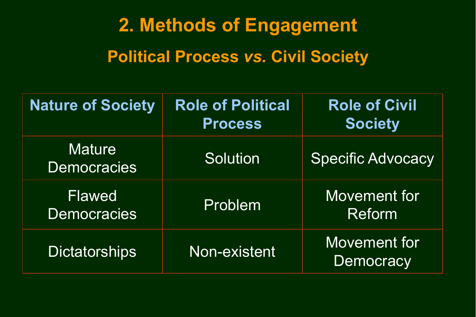# Political Process *vs.* Civil Society 2. Methods of Engagement

| <b>Nature of Society</b>            | <b>Role of Political</b><br><b>Process</b> | <b>Role of Civil</b><br><b>Society</b> |
|-------------------------------------|--------------------------------------------|----------------------------------------|
| <b>Mature</b><br><b>Democracies</b> | <b>Solution</b>                            | <b>Specific Advocacy</b>               |
| <b>Flawed</b><br><b>Democracies</b> | Problem                                    | <b>Movement for</b><br><b>Reform</b>   |
| <b>Dictatorships</b>                | Non-existent                               | <b>Movement for</b><br>Democracy       |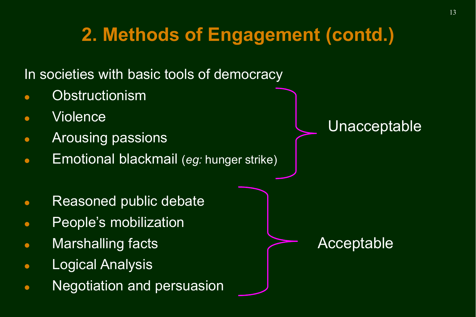# 2. Methods of Engagement (contd.)

In societies with basic tools of democracy

- **Obstructionism**
- Violence
- Arousing passions
- Emotional blackmail (*eg:* hunger strike)
- **Reasoned public debate**
- People's mobilization
- Marshalling facts
- Logical Analysis
- **Negotiation and persuasion**

Unacceptable

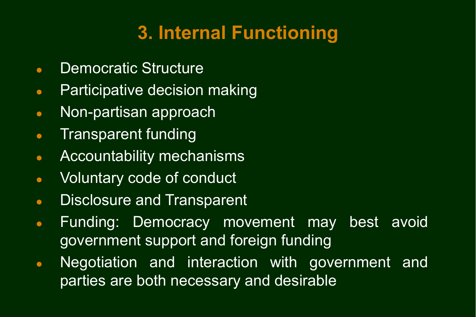# 3. Internal Functioning

- **Democratic Structure**
- Participative decision making
- Non-partisan approach
- **Transparent funding**
- Accountability mechanisms
- Voluntary code of conduct
- **Disclosure and Transparent**
- Funding: Democracy movement may best avoid government support and foreign funding
- Negotiation and interaction with government and parties are both necessary and desirable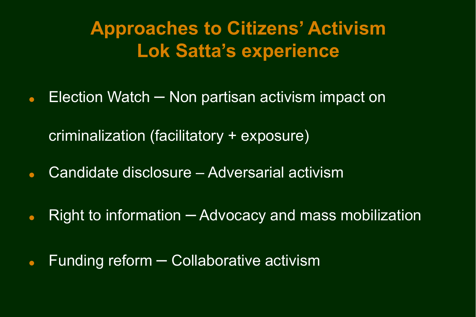## Approaches to Citizens' Activism Lok Satta's experience

**Election Watch – Non partisan activism impact on** 

criminalization (facilitatory + exposure)

- Candidate disclosure Adversarial activism
- Right to information  $-$  Advocacy and mass mobilization
- Funding reform Collaborative activism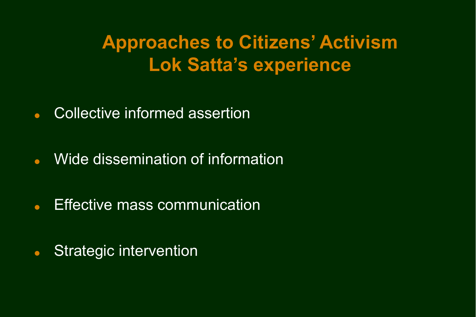# Approaches to Citizens' Activism Lok Satta's experience

- Collective informed assertion
- **Wide dissemination of information**
- **Effective mass communication**
- **Strategic intervention**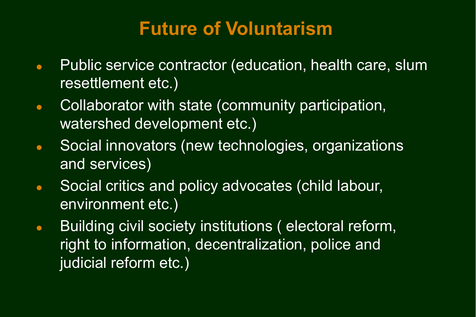## Future of Voluntarism

- Public service contractor (education, health care, slum resettlement etc.)
- Collaborator with state (community participation, watershed development etc.)
- Social innovators (new technologies, organizations and services)
- Social critics and policy advocates (child labour, environment etc.)
- Building civil society institutions ( electoral reform, right to information, decentralization, police and judicial reform etc.)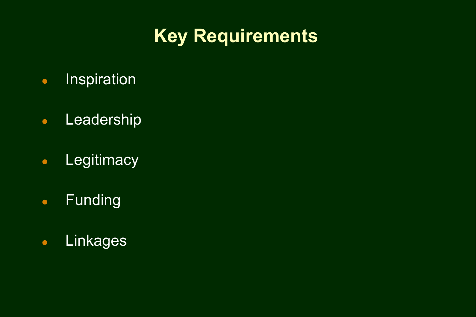# Key Requirements

- **•** Inspiration
- **•** Leadership
- **•** Legitimacy
- **•** Funding
- Linkages